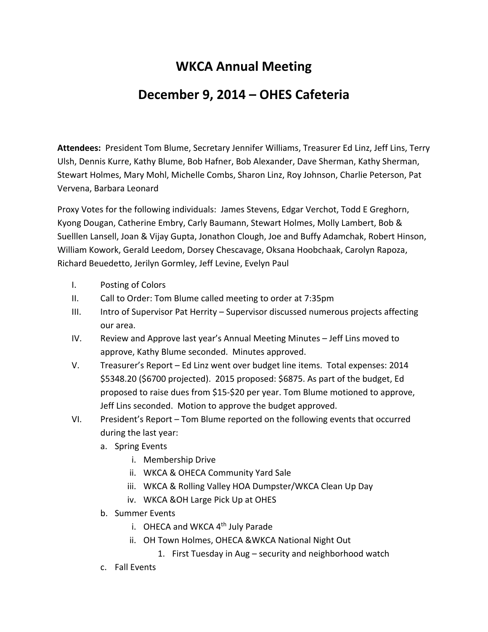## **WKCA Annual Meeting**

## **December 9, 2014 – OHES Cafeteria**

**Attendees:** President Tom Blume, Secretary Jennifer Williams, Treasurer Ed Linz, Jeff Lins, Terry Ulsh, Dennis Kurre, Kathy Blume, Bob Hafner, Bob Alexander, Dave Sherman, Kathy Sherman, Stewart Holmes, Mary Mohl, Michelle Combs, Sharon Linz, Roy Johnson, Charlie Peterson, Pat Vervena, Barbara Leonard

Proxy Votes for the following individuals: James Stevens, Edgar Verchot, Todd E Greghorn, Kyong Dougan, Catherine Embry, Carly Baumann, Stewart Holmes, Molly Lambert, Bob & Suelllen Lansell, Joan & Vijay Gupta, Jonathon Clough, Joe and Buffy Adamchak, Robert Hinson, William Kowork, Gerald Leedom, Dorsey Chescavage, Oksana Hoobchaak, Carolyn Rapoza, Richard Beuedetto, Jerilyn Gormley, Jeff Levine, Evelyn Paul

- I. Posting of Colors
- II. Call to Order: Tom Blume called meeting to order at 7:35pm
- III. Intro of Supervisor Pat Herrity Supervisor discussed numerous projects affecting our area.
- IV. Review and Approve last year's Annual Meeting Minutes Jeff Lins moved to approve, Kathy Blume seconded. Minutes approved.
- V. Treasurer's Report Ed Linz went over budget line items. Total expenses: 2014 \$5348.20 (\$6700 projected). 2015 proposed: \$6875. As part of the budget, Ed proposed to raise dues from \$15-\$20 per year. Tom Blume motioned to approve, Jeff Lins seconded. Motion to approve the budget approved.
- VI. President's Report Tom Blume reported on the following events that occurred during the last year:
	- a. Spring Events
		- i. Membership Drive
		- ii. WKCA & OHECA Community Yard Sale
		- iii. WKCA & Rolling Valley HOA Dumpster/WKCA Clean Up Day
		- iv. WKCA &OH Large Pick Up at OHES
	- b. Summer Events
		- i. OHECA and WKCA  $4<sup>th</sup>$  July Parade
		- ii. OH Town Holmes, OHECA &WKCA National Night Out
			- 1. First Tuesday in Aug security and neighborhood watch
	- c. Fall Events